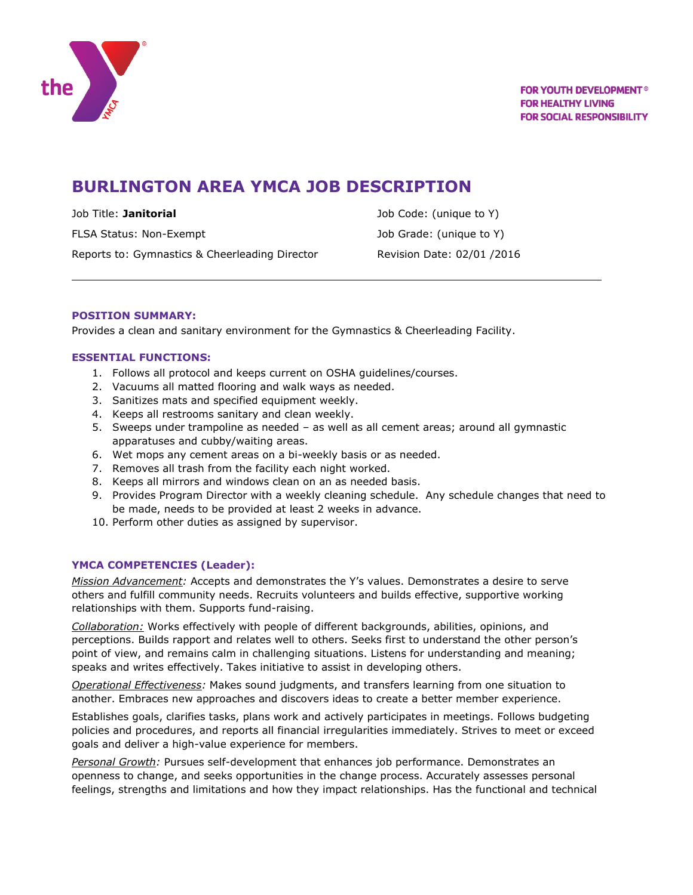

# **BURLINGTON AREA YMCA JOB DESCRIPTION**

Job Title: **Janitorial** Job Code: (unique to Y) FLSA Status: Non-Exempt The Control of Control of Job Grade: (unique to Y) Reports to: Gymnastics & Cheerleading Director Revision Date: 02/01 /2016

# **POSITION SUMMARY:**

Provides a clean and sanitary environment for the Gymnastics & Cheerleading Facility.

# **ESSENTIAL FUNCTIONS:**

- 1. Follows all protocol and keeps current on OSHA guidelines/courses.
- 2. Vacuums all matted flooring and walk ways as needed.
- 3. Sanitizes mats and specified equipment weekly.
- 4. Keeps all restrooms sanitary and clean weekly.
- 5. Sweeps under trampoline as needed as well as all cement areas; around all gymnastic apparatuses and cubby/waiting areas.
- 6. Wet mops any cement areas on a bi-weekly basis or as needed.
- 7. Removes all trash from the facility each night worked.
- 8. Keeps all mirrors and windows clean on an as needed basis.
- 9. Provides Program Director with a weekly cleaning schedule. Any schedule changes that need to be made, needs to be provided at least 2 weeks in advance.
- 10. Perform other duties as assigned by supervisor.

#### **YMCA COMPETENCIES (Leader):**

*Mission Advancement:* Accepts and demonstrates the Y's values. Demonstrates a desire to serve others and fulfill community needs. Recruits volunteers and builds effective, supportive working relationships with them. Supports fund-raising.

*Collaboration:* Works effectively with people of different backgrounds, abilities, opinions, and perceptions. Builds rapport and relates well to others. Seeks first to understand the other person's point of view, and remains calm in challenging situations. Listens for understanding and meaning; speaks and writes effectively. Takes initiative to assist in developing others.

*Operational Effectiveness:* Makes sound judgments, and transfers learning from one situation to another. Embraces new approaches and discovers ideas to create a better member experience.

Establishes goals, clarifies tasks, plans work and actively participates in meetings. Follows budgeting policies and procedures, and reports all financial irregularities immediately. Strives to meet or exceed goals and deliver a high-value experience for members.

*Personal Growth:* Pursues self-development that enhances job performance. Demonstrates an openness to change, and seeks opportunities in the change process. Accurately assesses personal feelings, strengths and limitations and how they impact relationships. Has the functional and technical